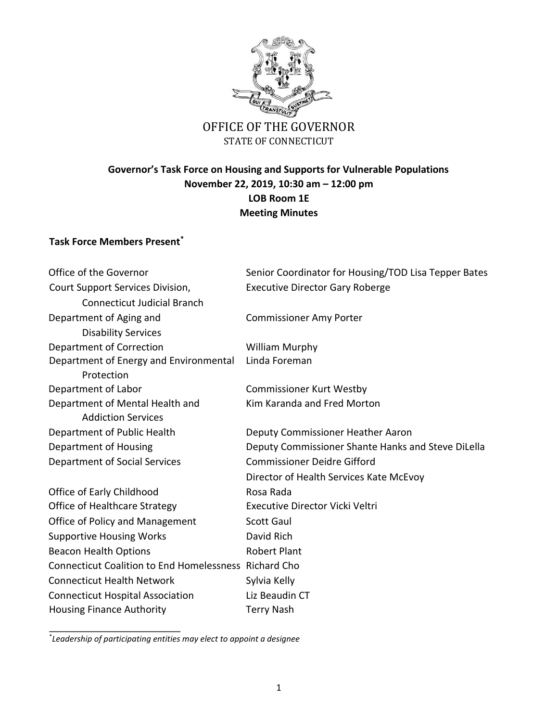

## OFFICE OF THE GOVERNOR STATE OF CONNECTICUT

## **Governor's Task Force on Housing and Supports for Vulnerable Populations November 22, 2019, 10:30 am – 12:00 pm LOB Room 1E Meeting Minutes**

## **Task Force Members Present\***

| Office of the Governor                                       | Senior Coordinator for Housing/TOD Lisa Tepper Bates |
|--------------------------------------------------------------|------------------------------------------------------|
| Court Support Services Division,                             | <b>Executive Director Gary Roberge</b>               |
| <b>Connecticut Judicial Branch</b>                           |                                                      |
| Department of Aging and                                      | <b>Commissioner Amy Porter</b>                       |
| <b>Disability Services</b>                                   |                                                      |
| Department of Correction                                     | <b>William Murphy</b>                                |
| Department of Energy and Environmental<br>Protection         | Linda Foreman                                        |
| Department of Labor                                          | <b>Commissioner Kurt Westby</b>                      |
| Department of Mental Health and<br><b>Addiction Services</b> | Kim Karanda and Fred Morton                          |
| Department of Public Health                                  | Deputy Commissioner Heather Aaron                    |
| Department of Housing                                        | Deputy Commissioner Shante Hanks and Steve DiLella   |
| Department of Social Services                                | <b>Commissioner Deidre Gifford</b>                   |
|                                                              | Director of Health Services Kate McEvoy              |
| Office of Early Childhood                                    | Rosa Rada                                            |
| Office of Healthcare Strategy                                | Executive Director Vicki Veltri                      |
| Office of Policy and Management                              | <b>Scott Gaul</b>                                    |
| <b>Supportive Housing Works</b>                              | David Rich                                           |
| <b>Beacon Health Options</b>                                 | <b>Robert Plant</b>                                  |
| Connecticut Coalition to End Homelessness Richard Cho        |                                                      |
| <b>Connecticut Health Network</b>                            | Sylvia Kelly                                         |
| <b>Connecticut Hospital Association</b>                      | Liz Beaudin CT                                       |
| <b>Housing Finance Authority</b>                             | <b>Terry Nash</b>                                    |

\* *Leadership of participating entities may elect to appoint a designee*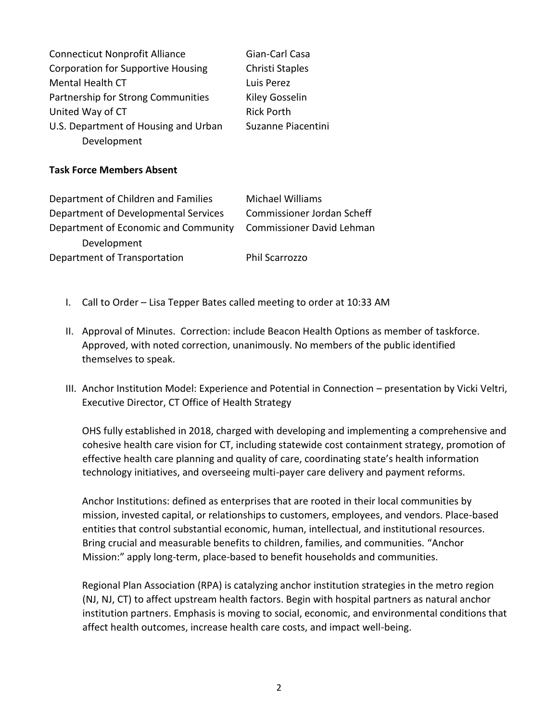| <b>Connecticut Nonprofit Alliance</b>     | Gian-Carl Casa     |
|-------------------------------------------|--------------------|
| <b>Corporation for Supportive Housing</b> | Christi Staples    |
| <b>Mental Health CT</b>                   | Luis Perez         |
| Partnership for Strong Communities        | Kiley Gosselin     |
| United Way of CT                          | <b>Rick Porth</b>  |
| U.S. Department of Housing and Urban      | Suzanne Piacentini |
| Development                               |                    |

## **Task Force Members Absent**

| Department of Children and Families  | <b>Michael Williams</b>          |
|--------------------------------------|----------------------------------|
| Department of Developmental Services | Commissioner Jordan Scheff       |
| Department of Economic and Community | <b>Commissioner David Lehman</b> |
| Development                          |                                  |
| Department of Transportation         | <b>Phil Scarrozzo</b>            |

- I. Call to Order Lisa Tepper Bates called meeting to order at 10:33 AM
- II. Approval of Minutes. Correction: include Beacon Health Options as member of taskforce. Approved, with noted correction, unanimously. No members of the public identified themselves to speak.
- III. Anchor Institution Model: Experience and Potential in Connection presentation by Vicki Veltri, Executive Director, CT Office of Health Strategy

OHS fully established in 2018, charged with developing and implementing a comprehensive and cohesive health care vision for CT, including statewide cost containment strategy, promotion of effective health care planning and quality of care, coordinating state's health information technology initiatives, and overseeing multi-payer care delivery and payment reforms.

Anchor Institutions: defined as enterprises that are rooted in their local communities by mission, invested capital, or relationships to customers, employees, and vendors. Place-based entities that control substantial economic, human, intellectual, and institutional resources. Bring crucial and measurable benefits to children, families, and communities. "Anchor Mission:" apply long-term, place-based to benefit households and communities.

Regional Plan Association (RPA) is catalyzing anchor institution strategies in the metro region (NJ, NJ, CT) to affect upstream health factors. Begin with hospital partners as natural anchor institution partners. Emphasis is moving to social, economic, and environmental conditions that affect health outcomes, increase health care costs, and impact well-being.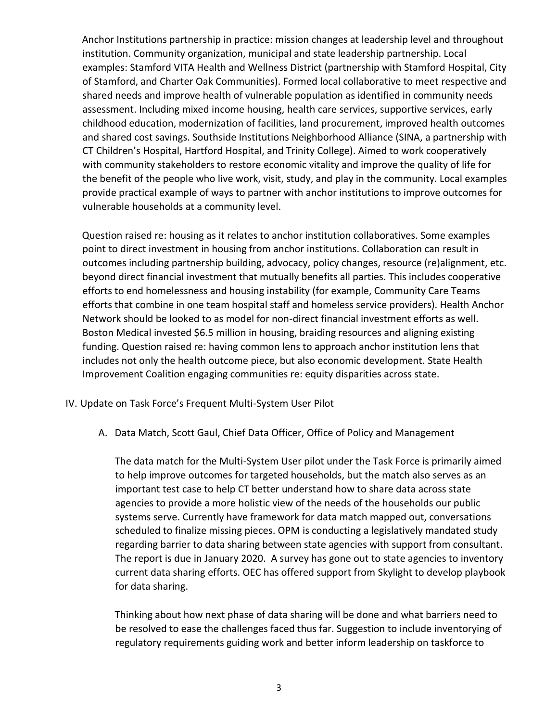Anchor Institutions partnership in practice: mission changes at leadership level and throughout institution. Community organization, municipal and state leadership partnership. Local examples: Stamford VITA Health and Wellness District (partnership with Stamford Hospital, City of Stamford, and Charter Oak Communities). Formed local collaborative to meet respective and shared needs and improve health of vulnerable population as identified in community needs assessment. Including mixed income housing, health care services, supportive services, early childhood education, modernization of facilities, land procurement, improved health outcomes and shared cost savings. Southside Institutions Neighborhood Alliance (SINA, a partnership with CT Children's Hospital, Hartford Hospital, and Trinity College). Aimed to work cooperatively with community stakeholders to restore economic vitality and improve the quality of life for the benefit of the people who live work, visit, study, and play in the community. Local examples provide practical example of ways to partner with anchor institutions to improve outcomes for vulnerable households at a community level.

Question raised re: housing as it relates to anchor institution collaboratives. Some examples point to direct investment in housing from anchor institutions. Collaboration can result in outcomes including partnership building, advocacy, policy changes, resource (re)alignment, etc. beyond direct financial investment that mutually benefits all parties. This includes cooperative efforts to end homelessness and housing instability (for example, Community Care Teams efforts that combine in one team hospital staff and homeless service providers). Health Anchor Network should be looked to as model for non-direct financial investment efforts as well. Boston Medical invested \$6.5 million in housing, braiding resources and aligning existing funding. Question raised re: having common lens to approach anchor institution lens that includes not only the health outcome piece, but also economic development. State Health Improvement Coalition engaging communities re: equity disparities across state.

IV. Update on Task Force's Frequent Multi-System User Pilot

A. Data Match, Scott Gaul, Chief Data Officer, Office of Policy and Management

The data match for the Multi-System User pilot under the Task Force is primarily aimed to help improve outcomes for targeted households, but the match also serves as an important test case to help CT better understand how to share data across state agencies to provide a more holistic view of the needs of the households our public systems serve. Currently have framework for data match mapped out, conversations scheduled to finalize missing pieces. OPM is conducting a legislatively mandated study regarding barrier to data sharing between state agencies with support from consultant. The report is due in January 2020. A survey has gone out to state agencies to inventory current data sharing efforts. OEC has offered support from Skylight to develop playbook for data sharing.

Thinking about how next phase of data sharing will be done and what barriers need to be resolved to ease the challenges faced thus far. Suggestion to include inventorying of regulatory requirements guiding work and better inform leadership on taskforce to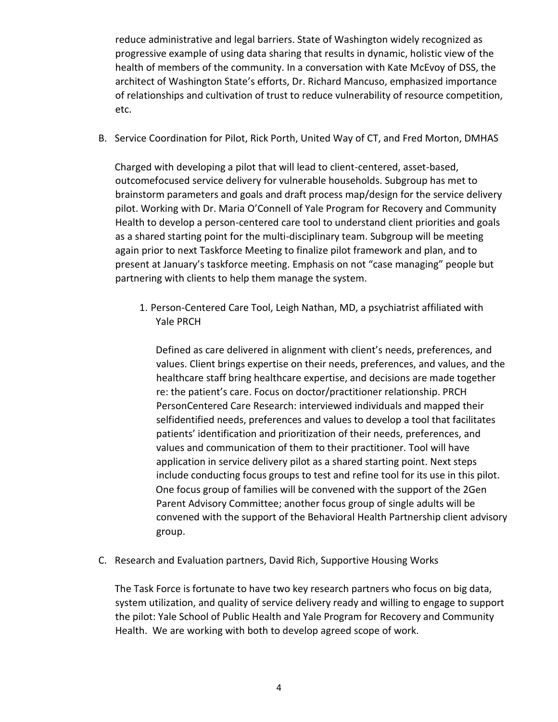reduce administrative and legal barriers. State of Washington widely recognized as progressive example of using data sharing that results in dynamic, holistic view of the health of members of the community. In a conversation with Kate McEvoy of DSS, the architect of Washington State's efforts, Dr. Richard Mancuso, emphasized importance of relationships and cultivation of trust to reduce vulnerability of resource competition, etc.

B. Service Coordination for Pilot, Rick Porth, United Way of CT, and Fred Morton, DMHAS

Charged with developing a pilot that will lead to client-centered, asset-based, outcomefocused service delivery for vulnerable households. Subgroup has met to brainstorm parameters and goals and draft process map/design for the service delivery pilot. Working with Dr. Maria O'Connell of Yale Program for Recovery and Community Health to develop a person-centered care tool to understand client priorities and goals as a shared starting point for the multi-disciplinary team. Subgroup will be meeting again prior to next Taskforce Meeting to finalize pilot framework and plan, and to present at January's taskforce meeting. Emphasis on not "case managing" people but partnering with clients to help them manage the system.

1. Person-Centered Care Tool, Leigh Nathan, MD, a psychiatrist affiliated with Yale PRCH

Defined as care delivered in alignment with client's needs, preferences, and values. Client brings expertise on their needs, preferences, and values, and the healthcare staff bring healthcare expertise, and decisions are made together re: the patient's care. Focus on doctor/practitioner relationship. PRCH PersonCentered Care Research: interviewed individuals and mapped their selfidentified needs, preferences and values to develop a tool that facilitates patients' identification and prioritization of their needs, preferences, and values and communication of them to their practitioner. Tool will have application in service delivery pilot as a shared starting point. Next steps include conducting focus groups to test and refine tool for its use in this pilot. One focus group of families will be convened with the support of the 2Gen Parent Advisory Committee; another focus group of single adults will be convened with the support of the Behavioral Health Partnership client advisory group.

C. Research and Evaluation partners, David Rich, Supportive Housing Works

The Task Force is fortunate to have two key research partners who focus on big data, system utilization, and quality of service delivery ready and willing to engage to support the pilot: Yale School of Public Health and Yale Program for Recovery and Community Health. We are working with both to develop agreed scope of work.